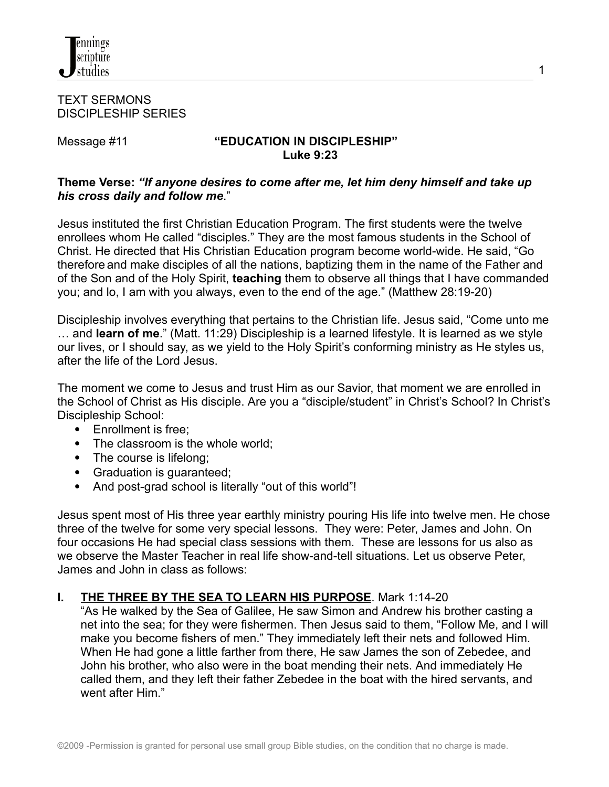

#### TEXT SERMONS DISCIPLESHIP SERIES

### Message #11 **"EDUCATION IN DISCIPLESHIP" Luke 9:23**

### **Theme Verse:** *"If anyone desires to come after me, let him deny himself and take up his cross daily and follow me*."

Jesus instituted the first Christian Education Program. The first students were the twelve enrollees whom He called "disciples." They are the most famous students in the School of Christ. He directed that His Christian Education program become world-wide. He said, "Go therefore and make disciples of all the nations, baptizing them in the name of the Father and of the Son and of the Holy Spirit, **teaching** them to observe all things that I have commanded you; and lo, I am with you always, even to the end of the age." (Matthew 28:19-20)

Discipleship involves everything that pertains to the Christian life. Jesus said, "Come unto me … and **learn of me**." (Matt. 11:29) Discipleship is a learned lifestyle. It is learned as we style our lives, or I should say, as we yield to the Holy Spirit's conforming ministry as He styles us, after the life of the Lord Jesus.

The moment we come to Jesus and trust Him as our Savior, that moment we are enrolled in the School of Christ as His disciple. Are you a "disciple/student" in Christ's School? In Christ's Discipleship School:

- Enrollment is free;
- The classroom is the whole world:
- The course is lifelong;
- Graduation is guaranteed;
- And post-grad school is literally "out of this world"!

Jesus spent most of His three year earthly ministry pouring His life into twelve men. He chose three of the twelve for some very special lessons. They were: Peter, James and John. On four occasions He had special class sessions with them. These are lessons for us also as we observe the Master Teacher in real life show-and-tell situations. Let us observe Peter, James and John in class as follows:

## **I. THE THREE BY THE SEA TO LEARN HIS PURPOSE**. Mark 1:14-20

"As He walked by the Sea of Galilee, He saw Simon and Andrew his brother casting a net into the sea; for they were fishermen. Then Jesus said to them, "Follow Me, and I will make you become fishers of men." They immediately left their nets and followed Him. When He had gone a little farther from there, He saw James the son of Zebedee, and John his brother, who also were in the boat mending their nets. And immediately He called them, and they left their father Zebedee in the boat with the hired servants, and went after Him."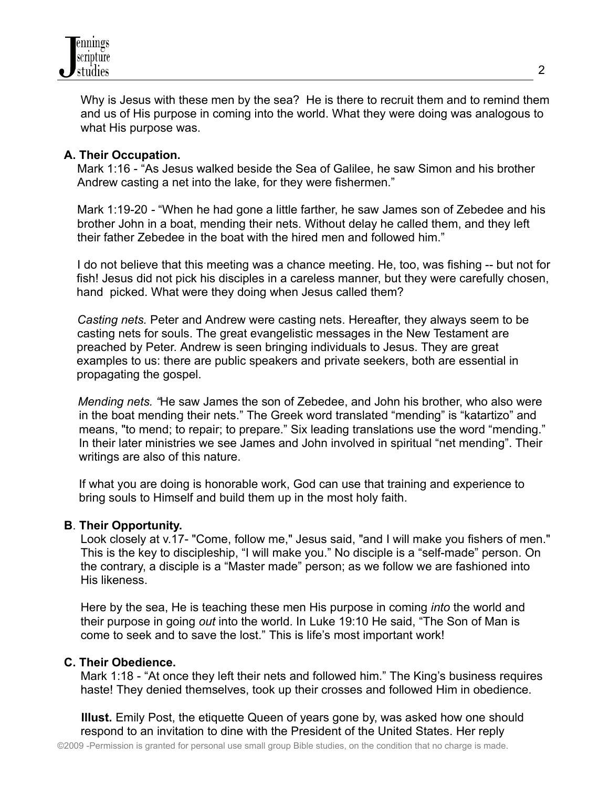

Why is Jesus with these men by the sea? He is there to recruit them and to remind them and us of His purpose in coming into the world. What they were doing was analogous to what His purpose was.

#### **A. Their Occupation.**

Mark 1:16 - "As Jesus walked beside the Sea of Galilee, he saw Simon and his brother Andrew casting a net into the lake, for they were fishermen."

Mark 1:19-20 *-* "When he had gone a little farther, he saw James son of Zebedee and his brother John in a boat, mending their nets. Without delay he called them, and they left their father Zebedee in the boat with the hired men and followed him."

I do not believe that this meeting was a chance meeting. He, too, was fishing -- but not for fish! Jesus did not pick his disciples in a careless manner, but they were carefully chosen, hand picked. What were they doing when Jesus called them?

*Casting nets.* Peter and Andrew were casting nets. Hereafter, they always seem to be casting nets for souls. The great evangelistic messages in the New Testament are preached by Peter. Andrew is seen bringing individuals to Jesus. They are great examples to us: there are public speakers and private seekers, both are essential in propagating the gospel.

*Mending nets. "*He saw James the son of Zebedee, and John his brother, who also were in the boat mending their nets." The Greek word translated "mending" is "katartizo" and means, "to mend; to repair; to prepare." Six leading translations use the word "mending." In their later ministries we see James and John involved in spiritual "net mending". Their writings are also of this nature.

If what you are doing is honorable work, God can use that training and experience to bring souls to Himself and build them up in the most holy faith.

### **B**. **Their Opportunity.**

Look closely at v.17- "Come, follow me," Jesus said, "and I will make you fishers of men." This is the key to discipleship, "I will make you." No disciple is a "self-made" person. On the contrary, a disciple is a "Master made" person; as we follow we are fashioned into His likeness.

Here by the sea, He is teaching these men His purpose in coming *into* the world and their purpose in going *out* into the world. In Luke 19:10 He said, "The Son of Man is come to seek and to save the lost." This is life's most important work!

#### **C. Their Obedience.**

Mark 1:18 - "At once they left their nets and followed him." The King's business requires haste! They denied themselves, took up their crosses and followed Him in obedience.

**Illust.** Emily Post, the etiquette Queen of years gone by, was asked how one should respond to an invitation to dine with the President of the United States. Her reply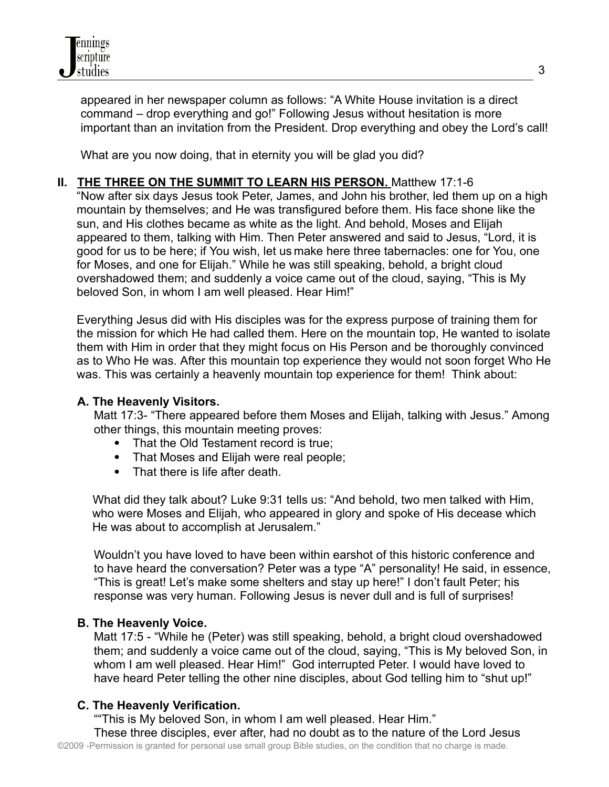appeared in her newspaper column as follows: "A White House invitation is a direct command – drop everything and go!" Following Jesus without hesitation is more important than an invitation from the President. Drop everything and obey the Lord's call!

What are you now doing, that in eternity you will be glad you did?

**II. THE THREE ON THE SUMMIT TO LEARN HIS PERSON.** Matthew 17:1-6

"Now after six days Jesus took Peter, James, and John his brother, led them up on a high mountain by themselves; and He was transfigured before them. His face shone like the sun, and His clothes became as white as the light. And behold, Moses and Elijah appeared to them, talking with Him. Then Peter answered and said to Jesus, "Lord, it is good for us to be here; if You wish, let us make here three tabernacles: one for You, one for Moses, and one for Elijah." While he was still speaking, behold, a bright cloud overshadowed them; and suddenly a voice came out of the cloud, saying, "This is My beloved Son, in whom I am well pleased. Hear Him!"

Everything Jesus did with His disciples was for the express purpose of training them for the mission for which He had called them. Here on the mountain top, He wanted to isolate them with Him in order that they might focus on His Person and be thoroughly convinced as to Who He was. After this mountain top experience they would not soon forget Who He was. This was certainly a heavenly mountain top experience for them! Think about:

## **A. The Heavenly Visitors.**

Matt 17:3- "There appeared before them Moses and Elijah, talking with Jesus." Among other things, this mountain meeting proves:

- That the Old Testament record is true:
- That Moses and Elijah were real people;
- That there is life after death.

What did they talk about? Luke 9:31 tells us: "And behold, two men talked with Him, who were Moses and Elijah, who appeared in glory and spoke of His decease which He was about to accomplish at Jerusalem."

Wouldn't you have loved to have been within earshot of this historic conference and to have heard the conversation? Peter was a type "A" personality! He said, in essence, "This is great! Let's make some shelters and stay up here!" I don't fault Peter; his response was very human. Following Jesus is never dull and is full of surprises!

## **B. The Heavenly Voice.**

Matt 17:5 - "While he (Peter) was still speaking, behold, a bright cloud overshadowed them; and suddenly a voice came out of the cloud, saying, "This is My beloved Son, in whom I am well pleased. Hear Him!" God interrupted Peter. I would have loved to have heard Peter telling the other nine disciples, about God telling him to "shut up!"

## **C. The Heavenly Verification.**

""This is My beloved Son, in whom I am well pleased. Hear Him." These three disciples, ever after, had no doubt as to the nature of the Lord Jesus ©2009 -Permission is granted for personal use small group Bible studies, on the condition that no charge is made.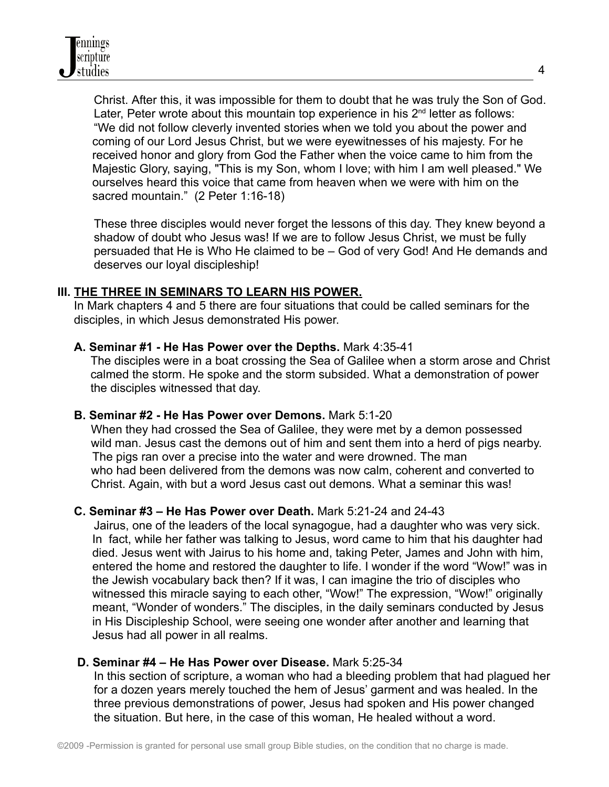Christ. After this, it was impossible for them to doubt that he was truly the Son of God. Later, Peter wrote about this mountain top experience in his  $2<sup>nd</sup>$  letter as follows: "We did not follow cleverly invented stories when we told you about the power and coming of our Lord Jesus Christ, but we were eyewitnesses of his majesty. For he received honor and glory from God the Father when the voice came to him from the Majestic Glory, saying, "This is my Son, whom I love; with him I am well pleased." We ourselves heard this voice that came from heaven when we were with him on the sacred mountain." (2 Peter 1:16-18)

These three disciples would never forget the lessons of this day. They knew beyond a shadow of doubt who Jesus was! If we are to follow Jesus Christ, we must be fully persuaded that He is Who He claimed to be – God of very God! And He demands and deserves our loyal discipleship!

### **III. THE THREE IN SEMINARS TO LEARN HIS POWER.**

In Mark chapters 4 and 5 there are four situations that could be called seminars for the disciples, in which Jesus demonstrated His power.

### **A. Seminar #1 - He Has Power over the Depths.** Mark 4:35-41

The disciples were in a boat crossing the Sea of Galilee when a storm arose and Christ calmed the storm. He spoke and the storm subsided. What a demonstration of power the disciples witnessed that day.

### **B. Seminar #2 - He Has Power over Demons.** Mark 5:1-20

When they had crossed the Sea of Galilee, they were met by a demon possessed wild man. Jesus cast the demons out of him and sent them into a herd of pigs nearby. The pigs ran over a precise into the water and were drowned. The man who had been delivered from the demons was now calm, coherent and converted to Christ. Again, with but a word Jesus cast out demons. What a seminar this was!

### **C. Seminar #3 – He Has Power over Death.** Mark 5:21-24 and 24-43

Jairus, one of the leaders of the local synagogue, had a daughter who was very sick. In fact, while her father was talking to Jesus, word came to him that his daughter had died. Jesus went with Jairus to his home and, taking Peter, James and John with him, entered the home and restored the daughter to life. I wonder if the word "Wow!" was in the Jewish vocabulary back then? If it was, I can imagine the trio of disciples who witnessed this miracle saying to each other, "Wow!" The expression, "Wow!" originally meant, "Wonder of wonders." The disciples, in the daily seminars conducted by Jesus in His Discipleship School, were seeing one wonder after another and learning that Jesus had all power in all realms.

### **D. Seminar #4 – He Has Power over Disease.** Mark 5:25-34

In this section of scripture, a woman who had a bleeding problem that had plagued her for a dozen years merely touched the hem of Jesus' garment and was healed. In the three previous demonstrations of power, Jesus had spoken and His power changed the situation. But here, in the case of this woman, He healed without a word.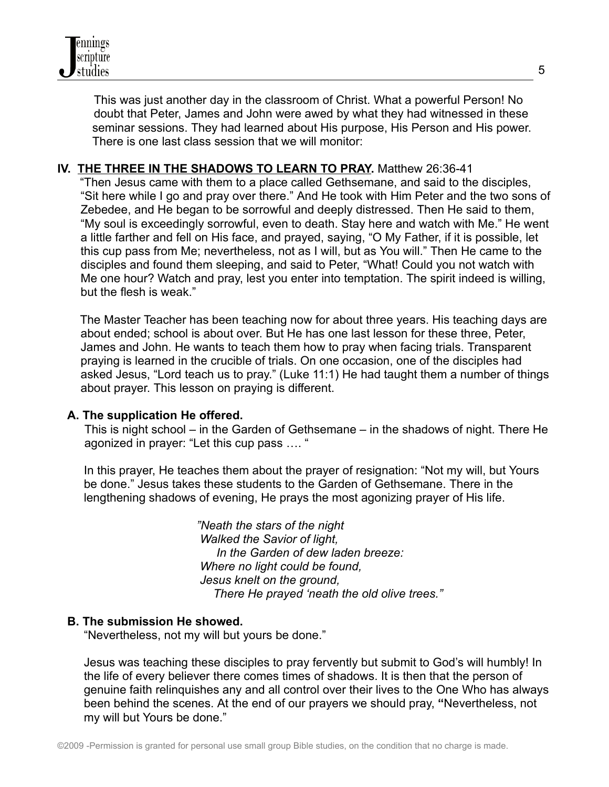This was just another day in the classroom of Christ. What a powerful Person! No doubt that Peter, James and John were awed by what they had witnessed in these seminar sessions. They had learned about His purpose, His Person and His power. There is one last class session that we will monitor:

## **IV. THE THREE IN THE SHADOWS TO LEARN TO PRAY.** Matthew 26:36-41

"Then Jesus came with them to a place called Gethsemane, and said to the disciples, "Sit here while I go and pray over there." And He took with Him Peter and the two sons of Zebedee, and He began to be sorrowful and deeply distressed. Then He said to them, "My soul is exceedingly sorrowful, even to death. Stay here and watch with Me." He went a little farther and fell on His face, and prayed, saying, "O My Father, if it is possible, let this cup pass from Me; nevertheless, not as I will, but as You will." Then He came to the disciples and found them sleeping, and said to Peter, "What! Could you not watch with Me one hour? Watch and pray, lest you enter into temptation. The spirit indeed is willing, but the flesh is weak."

The Master Teacher has been teaching now for about three years. His teaching days are about ended; school is about over. But He has one last lesson for these three, Peter, James and John. He wants to teach them how to pray when facing trials. Transparent praying is learned in the crucible of trials. On one occasion, one of the disciples had asked Jesus, "Lord teach us to pray." (Luke 11:1) He had taught them a number of things about prayer. This lesson on praying is different.

### **A. The supplication He offered.**

This is night school – in the Garden of Gethsemane – in the shadows of night. There He agonized in prayer: "Let this cup pass …. "

In this prayer, He teaches them about the prayer of resignation: "Not my will, but Yours be done." Jesus takes these students to the Garden of Gethsemane. There in the lengthening shadows of evening, He prays the most agonizing prayer of His life.

> *"Neath the stars of the night Walked the Savior of light, In the Garden of dew laden breeze: Where no light could be found, Jesus knelt on the ground, There He prayed 'neath the old olive trees."*

### **B. The submission He showed.**

"Nevertheless, not my will but yours be done."

Jesus was teaching these disciples to pray fervently but submit to God's will humbly! In the life of every believer there comes times of shadows. It is then that the person of genuine faith relinquishes any and all control over their lives to the One Who has always been behind the scenes. At the end of our prayers we should pray, **"**Nevertheless, not my will but Yours be done."